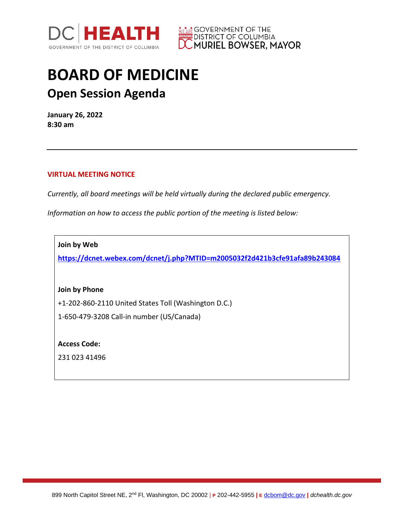



## **BOARD OF MEDICINE Open Session Agenda**

**January 26, 2022 8:30 am**

## **VIRTUAL MEETING NOTICE**

*Currently, all board meetings will be held virtually during the declared public emergency.* 

*Information on how to access the public portion of the meeting is listed below:*

**Join by Web**

**<https://dcnet.webex.com/dcnet/j.php?MTID=m2005032f2d421b3cfe91afa89b243084>**

**Join by Phone**

+1-202-860-2110 United States Toll (Washington D.C.)

1-650-479-3208 Call-in number (US/Canada)

**Access Code:** 

231 023 41496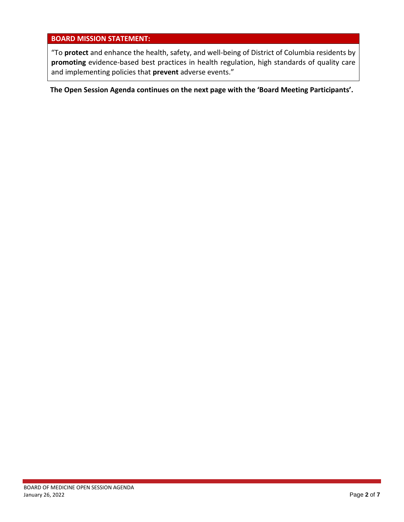## **BOARD MISSION STATEMENT:**

"To **protect** and enhance the health, safety, and well-being of District of Columbia residents by **promoting** evidence-based best practices in health regulation, high standards of quality care and implementing policies that **prevent** adverse events."

**The Open Session Agenda continues on the next page with the 'Board Meeting Participants'.**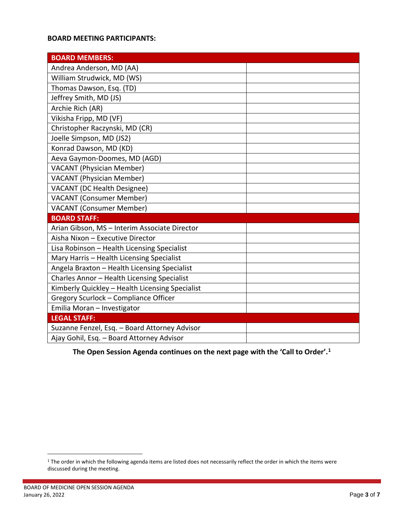## **BOARD MEETING PARTICIPANTS:**

| <b>BOARD MEMBERS:</b>                           |  |
|-------------------------------------------------|--|
| Andrea Anderson, MD (AA)                        |  |
| William Strudwick, MD (WS)                      |  |
| Thomas Dawson, Esq. (TD)                        |  |
| Jeffrey Smith, MD (JS)                          |  |
| Archie Rich (AR)                                |  |
| Vikisha Fripp, MD (VF)                          |  |
| Christopher Raczynski, MD (CR)                  |  |
| Joelle Simpson, MD (JS2)                        |  |
| Konrad Dawson, MD (KD)                          |  |
| Aeva Gaymon-Doomes, MD (AGD)                    |  |
| <b>VACANT (Physician Member)</b>                |  |
| <b>VACANT</b> (Physician Member)                |  |
| <b>VACANT</b> (DC Health Designee)              |  |
| <b>VACANT (Consumer Member)</b>                 |  |
| <b>VACANT (Consumer Member)</b>                 |  |
| <b>BOARD STAFF:</b>                             |  |
| Arian Gibson, MS - Interim Associate Director   |  |
| Aisha Nixon - Executive Director                |  |
| Lisa Robinson - Health Licensing Specialist     |  |
| Mary Harris - Health Licensing Specialist       |  |
| Angela Braxton - Health Licensing Specialist    |  |
| Charles Annor - Health Licensing Specialist     |  |
| Kimberly Quickley - Health Licensing Specialist |  |
| Gregory Scurlock - Compliance Officer           |  |
| Emilia Moran - Investigator                     |  |
| <b>LEGAL STAFF:</b>                             |  |
| Suzanne Fenzel, Esq. - Board Attorney Advisor   |  |
| Ajay Gohil, Esq. - Board Attorney Advisor       |  |

**1he Open Session Agenda continues on the next page with the 'Call to Order'.<sup>1</sup>** 

<sup>&</sup>lt;sup>1</sup> The order in which the following agenda items are listed does not necessarily reflect the order in which the items were discussed during the meeting.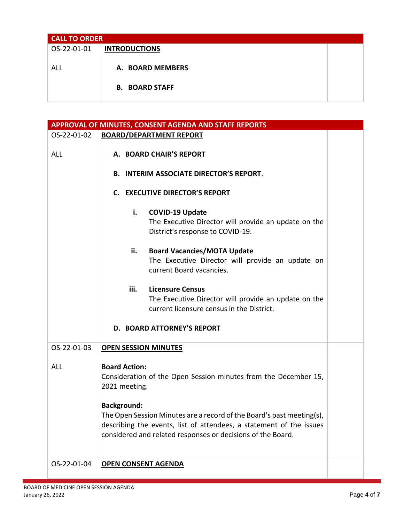| <b>CALL TO ORDER</b> |                       |  |
|----------------------|-----------------------|--|
| OS-22-01-01          | <b>INTRODUCTIONS</b>  |  |
|                      |                       |  |
| ALL                  | A. BOARD MEMBERS      |  |
|                      |                       |  |
|                      | <b>B. BOARD STAFF</b> |  |
|                      |                       |  |

| APPROVAL OF MINUTES, CONSENT AGENDA AND STAFF REPORTS |                                                                                                                                                                                                                                   |  |
|-------------------------------------------------------|-----------------------------------------------------------------------------------------------------------------------------------------------------------------------------------------------------------------------------------|--|
| OS-22-01-02                                           | <b>BOARD/DEPARTMENT REPORT</b>                                                                                                                                                                                                    |  |
| <b>ALL</b>                                            | A. BOARD CHAIR'S REPORT<br><b>B. INTERIM ASSOCIATE DIRECTOR'S REPORT.</b>                                                                                                                                                         |  |
|                                                       | <b>C. EXECUTIVE DIRECTOR'S REPORT</b>                                                                                                                                                                                             |  |
|                                                       | i.<br><b>COVID-19 Update</b><br>The Executive Director will provide an update on the<br>District's response to COVID-19.                                                                                                          |  |
|                                                       | <b>Board Vacancies/MOTA Update</b><br>ii.<br>The Executive Director will provide an update on<br>current Board vacancies.                                                                                                         |  |
|                                                       | <b>Licensure Census</b><br>iii.<br>The Executive Director will provide an update on the<br>current licensure census in the District.                                                                                              |  |
|                                                       | <b>D. BOARD ATTORNEY'S REPORT</b>                                                                                                                                                                                                 |  |
| OS-22-01-03                                           | <b>OPEN SESSION MINUTES</b>                                                                                                                                                                                                       |  |
| <b>ALL</b>                                            | <b>Board Action:</b><br>Consideration of the Open Session minutes from the December 15,<br>2021 meeting.                                                                                                                          |  |
|                                                       | <b>Background:</b><br>The Open Session Minutes are a record of the Board's past meeting(s),<br>describing the events, list of attendees, a statement of the issues<br>considered and related responses or decisions of the Board. |  |
| OS-22-01-04                                           | <b>OPEN CONSENT AGENDA</b>                                                                                                                                                                                                        |  |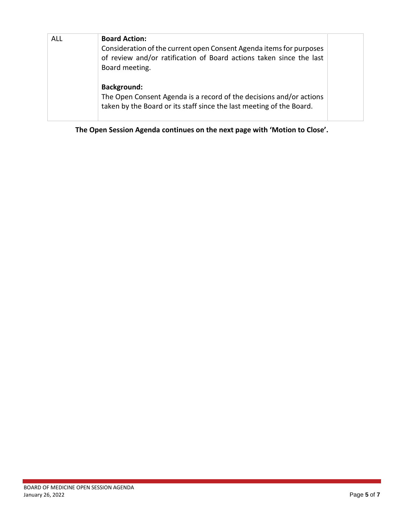| <b>ALL</b> | <b>Board Action:</b><br>Consideration of the current open Consent Agenda items for purposes<br>of review and/or ratification of Board actions taken since the last<br>Board meeting. |  |
|------------|--------------------------------------------------------------------------------------------------------------------------------------------------------------------------------------|--|
|            | <b>Background:</b><br>The Open Consent Agenda is a record of the decisions and/or actions<br>taken by the Board or its staff since the last meeting of the Board.                    |  |

**The Open Session Agenda continues on the next page with 'Motion to Close'.**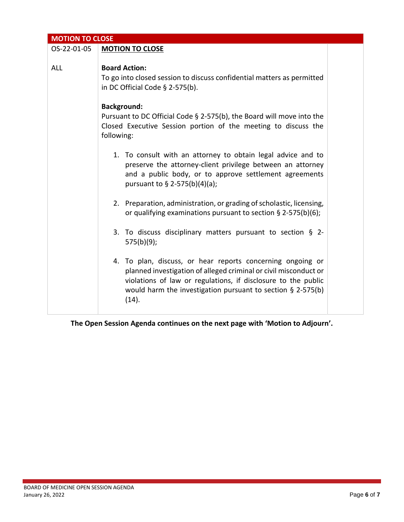| <b>MOTION TO CLOSE</b> |                                                                                                                                                                                                                                                                            |  |
|------------------------|----------------------------------------------------------------------------------------------------------------------------------------------------------------------------------------------------------------------------------------------------------------------------|--|
| OS-22-01-05            | <b>MOTION TO CLOSE</b>                                                                                                                                                                                                                                                     |  |
| <b>ALL</b>             | <b>Board Action:</b><br>To go into closed session to discuss confidential matters as permitted<br>in DC Official Code $\S$ 2-575(b).                                                                                                                                       |  |
|                        | <b>Background:</b><br>Pursuant to DC Official Code § 2-575(b), the Board will move into the<br>Closed Executive Session portion of the meeting to discuss the<br>following:                                                                                                |  |
|                        | 1. To consult with an attorney to obtain legal advice and to<br>preserve the attorney-client privilege between an attorney<br>and a public body, or to approve settlement agreements<br>pursuant to § 2-575(b)(4)(a);                                                      |  |
|                        | 2. Preparation, administration, or grading of scholastic, licensing,<br>or qualifying examinations pursuant to section $\S$ 2-575(b)(6);                                                                                                                                   |  |
|                        | 3. To discuss disciplinary matters pursuant to section $\S$ 2-<br>$575(b)(9)$ ;                                                                                                                                                                                            |  |
|                        | 4. To plan, discuss, or hear reports concerning ongoing or<br>planned investigation of alleged criminal or civil misconduct or<br>violations of law or regulations, if disclosure to the public<br>would harm the investigation pursuant to section $\S$ 2-575(b)<br>(14). |  |

**The Open Session Agenda continues on the next page with 'Motion to Adjourn'.**